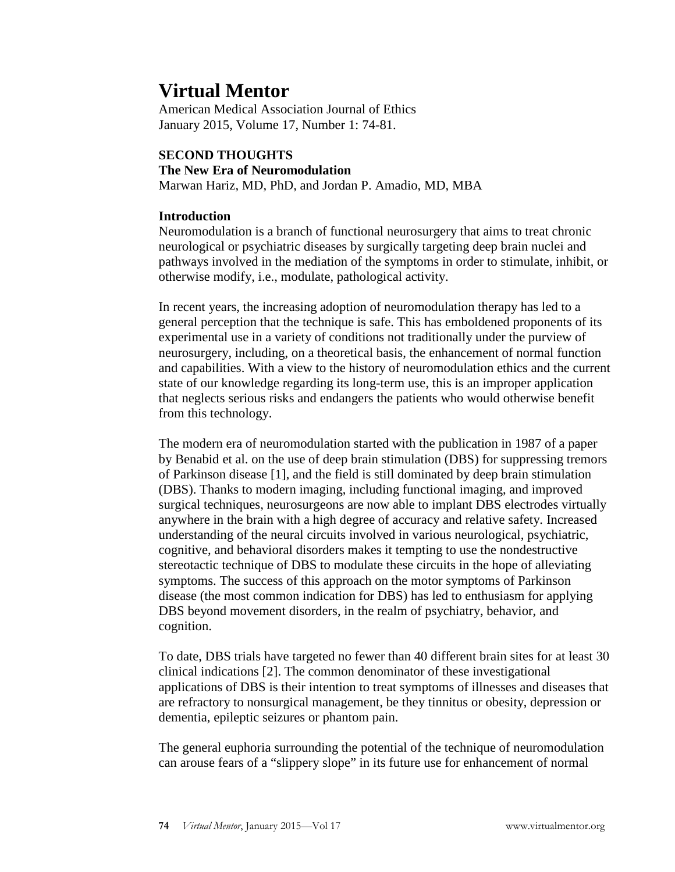# **Virtual Mentor**

American Medical Association Journal of Ethics January 2015, Volume 17, Number 1: 74-81.

## **SECOND THOUGHTS The New Era of Neuromodulation** Marwan Hariz, MD, PhD, and Jordan P. Amadio, MD, MBA

## **Introduction**

Neuromodulation is a branch of functional neurosurgery that aims to treat chronic neurological or psychiatric diseases by surgically targeting deep brain nuclei and pathways involved in the mediation of the symptoms in order to stimulate, inhibit, or otherwise modify, i.e., modulate, pathological activity.

In recent years, the increasing adoption of neuromodulation therapy has led to a general perception that the technique is safe. This has emboldened proponents of its experimental use in a variety of conditions not traditionally under the purview of neurosurgery, including, on a theoretical basis, the enhancement of normal function and capabilities. With a view to the history of neuromodulation ethics and the current state of our knowledge regarding its long-term use, this is an improper application that neglects serious risks and endangers the patients who would otherwise benefit from this technology.

The modern era of neuromodulation started with the publication in 1987 of a paper by Benabid et al. on the use of deep brain stimulation (DBS) for suppressing tremors of Parkinson disease [1], and the field is still dominated by deep brain stimulation (DBS). Thanks to modern imaging, including functional imaging, and improved surgical techniques, neurosurgeons are now able to implant DBS electrodes virtually anywhere in the brain with a high degree of accuracy and relative safety. Increased understanding of the neural circuits involved in various neurological, psychiatric, cognitive, and behavioral disorders makes it tempting to use the nondestructive stereotactic technique of DBS to modulate these circuits in the hope of alleviating symptoms. The success of this approach on the motor symptoms of Parkinson disease (the most common indication for DBS) has led to enthusiasm for applying DBS beyond movement disorders, in the realm of psychiatry, behavior, and cognition.

To date, DBS trials have targeted no fewer than 40 different brain sites for at least 30 clinical indications [2]. The common denominator of these investigational applications of DBS is their intention to treat symptoms of illnesses and diseases that are refractory to nonsurgical management, be they tinnitus or obesity, depression or dementia, epileptic seizures or phantom pain.

The general euphoria surrounding the potential of the technique of neuromodulation can arouse fears of a "slippery slope" in its future use for enhancement of normal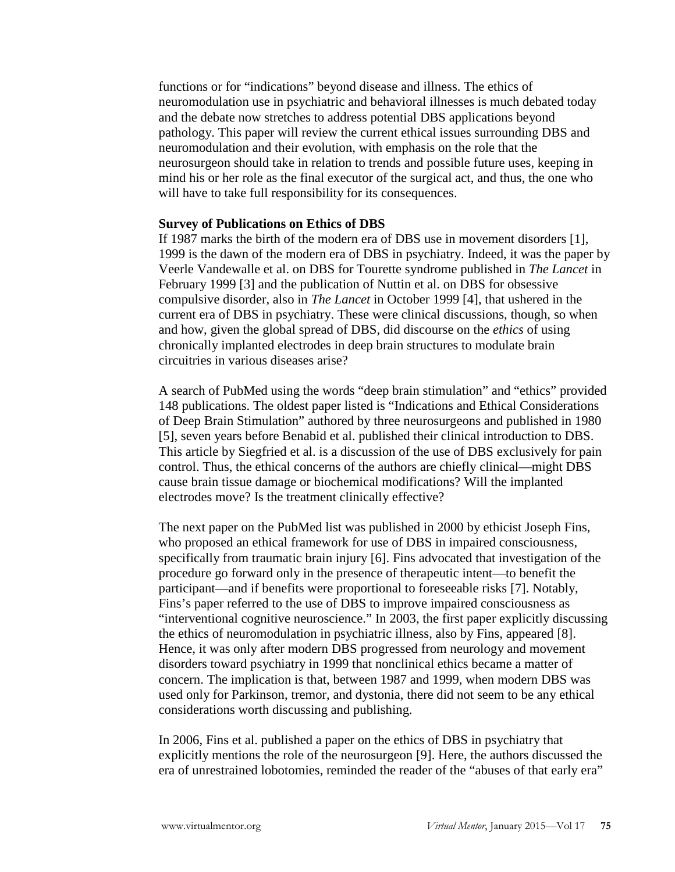functions or for "indications" beyond disease and illness. The ethics of neuromodulation use in psychiatric and behavioral illnesses is much debated today and the debate now stretches to address potential DBS applications beyond pathology. This paper will review the current ethical issues surrounding DBS and neuromodulation and their evolution, with emphasis on the role that the neurosurgeon should take in relation to trends and possible future uses, keeping in mind his or her role as the final executor of the surgical act, and thus, the one who will have to take full responsibility for its consequences.

#### **Survey of Publications on Ethics of DBS**

If 1987 marks the birth of the modern era of DBS use in movement disorders [1], 1999 is the dawn of the modern era of DBS in psychiatry. Indeed, it was the paper by Veerle Vandewalle et al. on DBS for Tourette syndrome published in *The Lancet* in February 1999 [3] and the publication of Nuttin et al. on DBS for obsessive compulsive disorder, also in *The Lancet* in October 1999 [4], that ushered in the current era of DBS in psychiatry. These were clinical discussions, though, so when and how, given the global spread of DBS, did discourse on the *ethics* of using chronically implanted electrodes in deep brain structures to modulate brain circuitries in various diseases arise?

A search of PubMed using the words "deep brain stimulation" and "ethics" provided 148 publications. The oldest paper listed is "Indications and Ethical Considerations of Deep Brain Stimulation" authored by three neurosurgeons and published in 1980 [5], seven years before Benabid et al. published their clinical introduction to DBS. This article by Siegfried et al. is a discussion of the use of DBS exclusively for pain control. Thus, the ethical concerns of the authors are chiefly clinical—might DBS cause brain tissue damage or biochemical modifications? Will the implanted electrodes move? Is the treatment clinically effective?

The next paper on the PubMed list was published in 2000 by ethicist Joseph Fins, who proposed an ethical framework for use of DBS in impaired consciousness, specifically from traumatic brain injury [6]. Fins advocated that investigation of the procedure go forward only in the presence of therapeutic intent—to benefit the participant—and if benefits were proportional to foreseeable risks [7]. Notably, Fins's paper referred to the use of DBS to improve impaired consciousness as "interventional cognitive neuroscience." In 2003, the first paper explicitly discussing the ethics of neuromodulation in psychiatric illness, also by Fins, appeared [8]. Hence, it was only after modern DBS progressed from neurology and movement disorders toward psychiatry in 1999 that nonclinical ethics became a matter of concern. The implication is that, between 1987 and 1999, when modern DBS was used only for Parkinson, tremor, and dystonia, there did not seem to be any ethical considerations worth discussing and publishing.

In 2006, Fins et al. published a paper on the ethics of DBS in psychiatry that explicitly mentions the role of the neurosurgeon [9]. Here, the authors discussed the era of unrestrained lobotomies, reminded the reader of the "abuses of that early era"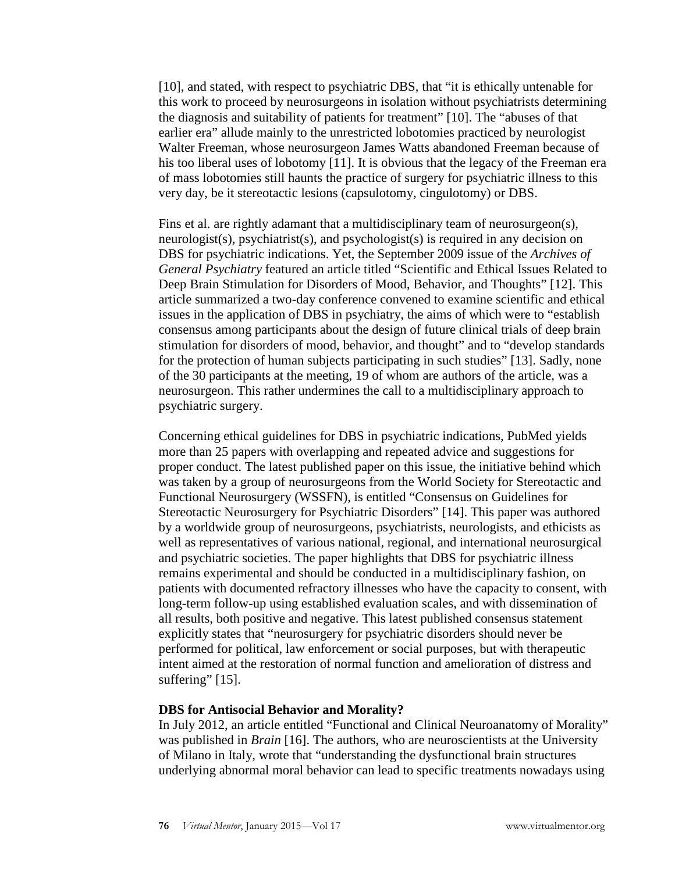[10], and stated, with respect to psychiatric DBS, that "it is ethically untenable for this work to proceed by neurosurgeons in isolation without psychiatrists determining the diagnosis and suitability of patients for treatment" [10]. The "abuses of that earlier era" allude mainly to the unrestricted lobotomies practiced by neurologist Walter Freeman, whose neurosurgeon James Watts abandoned Freeman because of his too liberal uses of lobotomy [11]. It is obvious that the legacy of the Freeman era of mass lobotomies still haunts the practice of surgery for psychiatric illness to this very day, be it stereotactic lesions (capsulotomy, cingulotomy) or DBS.

Fins et al. are rightly adamant that a multidisciplinary team of neurosurgeon(s), neurologist(s), psychiatrist(s), and psychologist(s) is required in any decision on DBS for psychiatric indications. Yet, the September 2009 issue of the *Archives of General Psychiatry* featured an article titled "Scientific and Ethical Issues Related to Deep Brain Stimulation for Disorders of Mood, Behavior, and Thoughts" [12]. This article summarized a two-day conference convened to examine scientific and ethical issues in the application of DBS in psychiatry, the aims of which were to "establish consensus among participants about the design of future clinical trials of deep brain stimulation for disorders of mood, behavior, and thought" and to "develop standards for the protection of human subjects participating in such studies" [13]. Sadly, none of the 30 participants at the meeting, 19 of whom are authors of the article, was a neurosurgeon. This rather undermines the call to a multidisciplinary approach to psychiatric surgery.

Concerning ethical guidelines for DBS in psychiatric indications, PubMed yields more than 25 papers with overlapping and repeated advice and suggestions for proper conduct. The latest published paper on this issue, the initiative behind which was taken by a group of neurosurgeons from the World Society for Stereotactic and Functional Neurosurgery (WSSFN), is entitled "Consensus on Guidelines for Stereotactic Neurosurgery for Psychiatric Disorders" [14]. This paper was authored by a worldwide group of neurosurgeons, psychiatrists, neurologists, and ethicists as well as representatives of various national, regional, and international neurosurgical and psychiatric societies. The paper highlights that DBS for psychiatric illness remains experimental and should be conducted in a multidisciplinary fashion, on patients with documented refractory illnesses who have the capacity to consent, with long-term follow-up using established evaluation scales, and with dissemination of all results, both positive and negative. This latest published consensus statement explicitly states that "neurosurgery for psychiatric disorders should never be performed for political, law enforcement or social purposes, but with therapeutic intent aimed at the restoration of normal function and amelioration of distress and suffering" [15].

#### **DBS for Antisocial Behavior and Morality?**

In July 2012, an article entitled "Functional and Clinical Neuroanatomy of Morality" was published in *Brain* [16]. The authors, who are neuroscientists at the University of Milano in Italy, wrote that "understanding the dysfunctional brain structures underlying abnormal moral behavior can lead to specific treatments nowadays using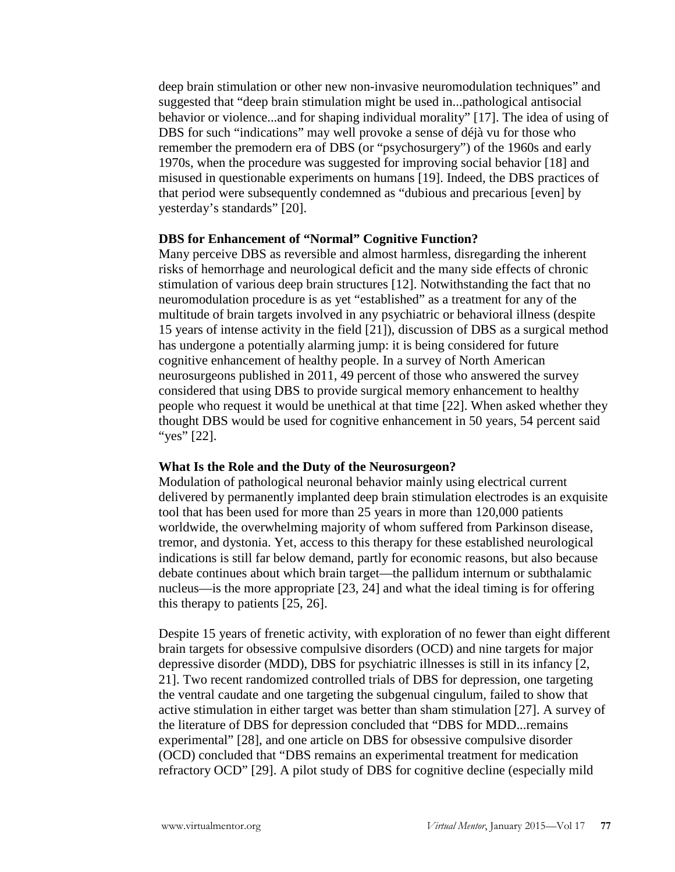deep brain stimulation or other new non-invasive neuromodulation techniques" and suggested that "deep brain stimulation might be used in...pathological antisocial behavior or violence...and for shaping individual morality" [17]. The idea of using of DBS for such "indications" may well provoke a sense of déjà vu for those who remember the premodern era of DBS (or "psychosurgery") of the 1960s and early 1970s, when the procedure was suggested for improving social behavior [18] and misused in questionable experiments on humans [19]. Indeed, the DBS practices of that period were subsequently condemned as "dubious and precarious [even] by yesterday's standards" [20].

#### **DBS for Enhancement of "Normal" Cognitive Function?**

Many perceive DBS as reversible and almost harmless, disregarding the inherent risks of hemorrhage and neurological deficit and the many side effects of chronic stimulation of various deep brain structures [12]. Notwithstanding the fact that no neuromodulation procedure is as yet "established" as a treatment for any of the multitude of brain targets involved in any psychiatric or behavioral illness (despite 15 years of intense activity in the field [21]), discussion of DBS as a surgical method has undergone a potentially alarming jump: it is being considered for future cognitive enhancement of healthy people. In a survey of North American neurosurgeons published in 2011, 49 percent of those who answered the survey considered that using DBS to provide surgical memory enhancement to healthy people who request it would be unethical at that time [22]. When asked whether they thought DBS would be used for cognitive enhancement in 50 years, 54 percent said "yes" [22].

## **What Is the Role and the Duty of the Neurosurgeon?**

Modulation of pathological neuronal behavior mainly using electrical current delivered by permanently implanted deep brain stimulation electrodes is an exquisite tool that has been used for more than 25 years in more than 120,000 patients worldwide, the overwhelming majority of whom suffered from Parkinson disease, tremor, and dystonia. Yet, access to this therapy for these established neurological indications is still far below demand, partly for economic reasons, but also because debate continues about which brain target—the pallidum internum or subthalamic nucleus—is the more appropriate [23, 24] and what the ideal timing is for offering this therapy to patients [25, 26].

Despite 15 years of frenetic activity, with exploration of no fewer than eight different brain targets for obsessive compulsive disorders (OCD) and nine targets for major depressive disorder (MDD), DBS for psychiatric illnesses is still in its infancy [2, 21]. Two recent randomized controlled trials of DBS for depression, one targeting the ventral caudate and one targeting the subgenual cingulum, failed to show that active stimulation in either target was better than sham stimulation [27]. A survey of the literature of DBS for depression concluded that "DBS for MDD...remains experimental" [28], and one article on DBS for obsessive compulsive disorder (OCD) concluded that "DBS remains an experimental treatment for medication refractory OCD" [29]. A pilot study of DBS for cognitive decline (especially mild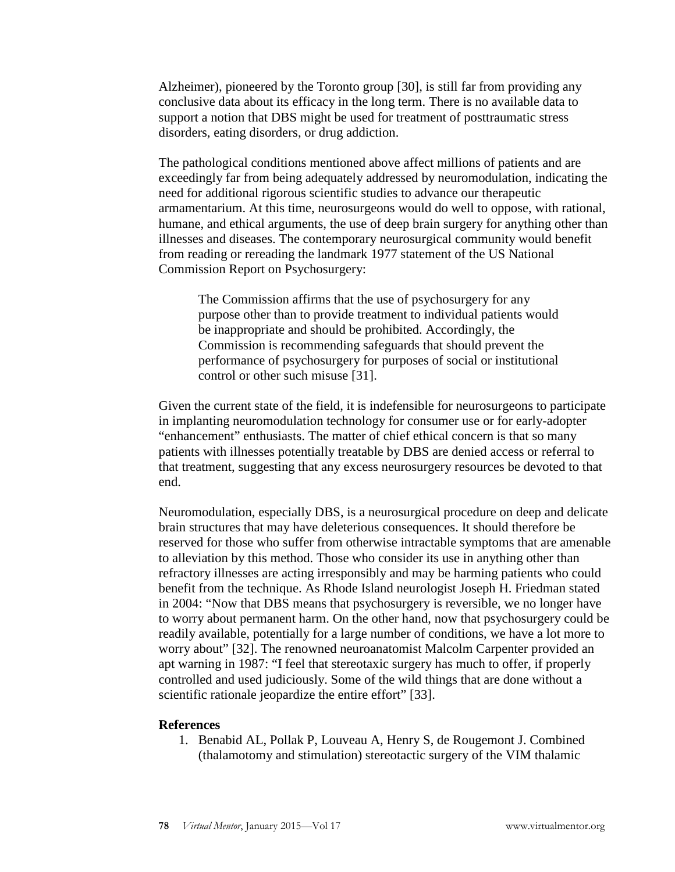Alzheimer), pioneered by the Toronto group [30], is still far from providing any conclusive data about its efficacy in the long term. There is no available data to support a notion that DBS might be used for treatment of posttraumatic stress disorders, eating disorders, or drug addiction.

The pathological conditions mentioned above affect millions of patients and are exceedingly far from being adequately addressed by neuromodulation, indicating the need for additional rigorous scientific studies to advance our therapeutic armamentarium. At this time, neurosurgeons would do well to oppose, with rational, humane, and ethical arguments, the use of deep brain surgery for anything other than illnesses and diseases. The contemporary neurosurgical community would benefit from reading or rereading the landmark 1977 statement of the US National Commission Report on Psychosurgery:

The Commission affirms that the use of psychosurgery for any purpose other than to provide treatment to individual patients would be inappropriate and should be prohibited. Accordingly, the Commission is recommending safeguards that should prevent the performance of psychosurgery for purposes of social or institutional control or other such misuse [31].

Given the current state of the field, it is indefensible for neurosurgeons to participate in implanting neuromodulation technology for consumer use or for early-adopter "enhancement" enthusiasts. The matter of chief ethical concern is that so many patients with illnesses potentially treatable by DBS are denied access or referral to that treatment, suggesting that any excess neurosurgery resources be devoted to that end.

Neuromodulation, especially DBS, is a neurosurgical procedure on deep and delicate brain structures that may have deleterious consequences. It should therefore be reserved for those who suffer from otherwise intractable symptoms that are amenable to alleviation by this method. Those who consider its use in anything other than refractory illnesses are acting irresponsibly and may be harming patients who could benefit from the technique. As Rhode Island neurologist Joseph H. Friedman stated in 2004: "Now that DBS means that psychosurgery is reversible, we no longer have to worry about permanent harm. On the other hand, now that psychosurgery could be readily available, potentially for a large number of conditions, we have a lot more to worry about" [32]. The renowned neuroanatomist Malcolm Carpenter provided an apt warning in 1987: "I feel that stereotaxic surgery has much to offer, if properly controlled and used judiciously. Some of the wild things that are done without a scientific rationale jeopardize the entire effort" [33].

#### **References**

1. Benabid AL, Pollak P, Louveau A, Henry S, de Rougemont J. Combined (thalamotomy and stimulation) stereotactic surgery of the VIM thalamic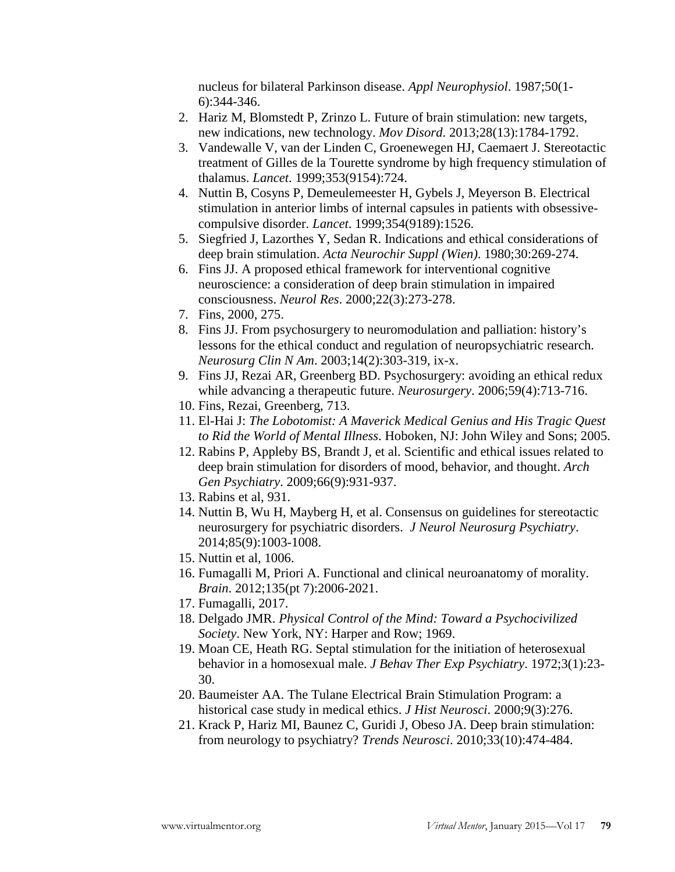nucleus for bilateral Parkinson disease. *Appl Neurophysiol*. 1987;50(1- 6):344-346.

- 2. Hariz M, Blomstedt P, Zrinzo L. Future of brain stimulation: new targets, new indications, new technology. *Mov Disord*. 2013;28(13):1784-1792.
- 3. Vandewalle V, van der Linden C, Groenewegen HJ, Caemaert J. Stereotactic treatment of Gilles de la Tourette syndrome by high frequency stimulation of thalamus. *Lancet*. 1999;353(9154):724.
- 4. Nuttin B, Cosyns P, Demeulemeester H, Gybels J, Meyerson B. Electrical stimulation in anterior limbs of internal capsules in patients with obsessivecompulsive disorder. *Lancet*. 1999;354(9189):1526.
- 5. Siegfried J, Lazorthes Y, Sedan R. Indications and ethical considerations of deep brain stimulation. *Acta Neurochir Suppl (Wien)*. 1980;30:269-274.
- 6. Fins JJ. A proposed ethical framework for interventional cognitive neuroscience: a consideration of deep brain stimulation in impaired consciousness. *Neurol Res*. 2000;22(3):273-278.
- 7. Fins, 2000, 275.
- 8. Fins JJ. From psychosurgery to neuromodulation and palliation: history's lessons for the ethical conduct and regulation of neuropsychiatric research. *Neurosurg Clin N Am*. 2003;14(2):303-319, ix-x.
- 9. Fins JJ, Rezai AR, Greenberg BD. Psychosurgery: avoiding an ethical redux while advancing a therapeutic future. *Neurosurgery*. 2006;59(4):713-716.
- 10. Fins, Rezai, Greenberg, 713.
- 11. El-Hai J: *The Lobotomist: A Maverick Medical Genius and His Tragic Quest to Rid the World of Mental Illness*. Hoboken, NJ: John Wiley and Sons; 2005.
- 12. Rabins P, Appleby BS, Brandt J, et al. Scientific and ethical issues related to deep brain stimulation for disorders of mood, behavior, and thought. *Arch Gen Psychiatry*. 2009;66(9):931-937.
- 13. Rabins et al, 931.
- 14. Nuttin B, Wu H, Mayberg H, et al. Consensus on guidelines for stereotactic neurosurgery for psychiatric disorders. *J Neurol Neurosurg Psychiatry*. 2014;85(9):1003-1008.
- 15. Nuttin et al, 1006.
- 16. Fumagalli M, Priori A. Functional and clinical neuroanatomy of morality. *Brain*. 2012;135(pt 7):2006-2021.
- 17. Fumagalli, 2017.
- 18. Delgado JMR. *Physical Control of the Mind: Toward a Psychocivilized Society*. New York, NY: Harper and Row; 1969.
- 19. Moan CE, Heath RG. Septal stimulation for the initiation of heterosexual behavior in a homosexual male. *J Behav Ther Exp Psychiatry*. 1972;3(1):23- 30.
- 20. Baumeister AA. The Tulane Electrical Brain Stimulation Program: a historical case study in medical ethics. *J Hist Neurosci*. 2000;9(3):276.
- 21. Krack P, Hariz MI, Baunez C, Guridi J, Obeso JA. Deep brain stimulation: from neurology to psychiatry? *Trends Neurosci*. 2010;33(10):474-484.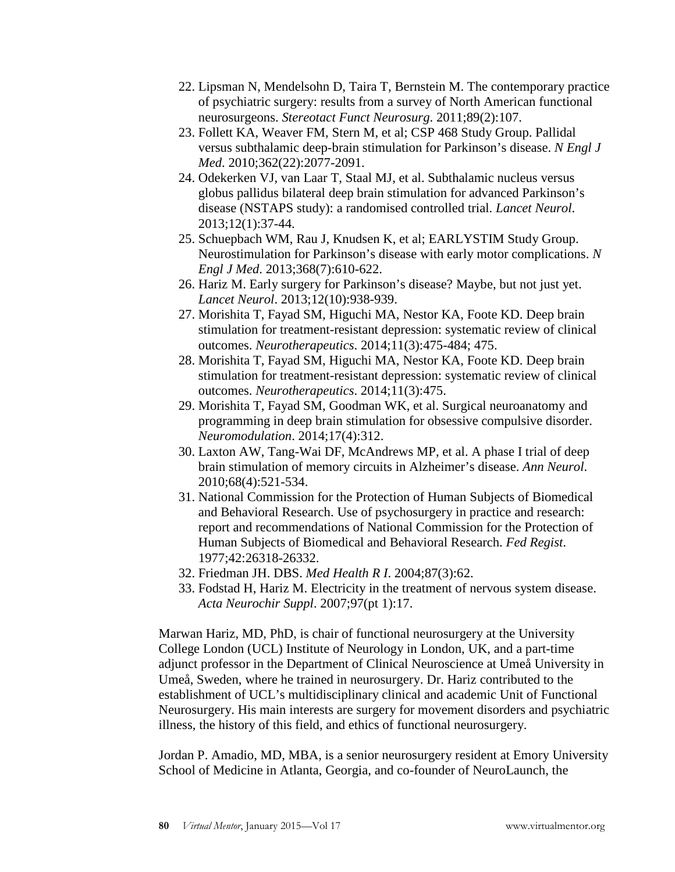- 22. Lipsman N, Mendelsohn D, Taira T, Bernstein M. The contemporary practice of psychiatric surgery: results from a survey of North American functional neurosurgeons. *Stereotact Funct Neurosurg*. 2011;89(2):107.
- 23. Follett KA, Weaver FM, Stern M, et al; CSP 468 Study Group. Pallidal versus subthalamic deep-brain stimulation for Parkinson's disease. *N Engl J Med*. 2010;362(22):2077-2091.
- 24. Odekerken VJ, van Laar T, Staal MJ, et al. Subthalamic nucleus versus globus pallidus bilateral deep brain stimulation for advanced Parkinson's disease (NSTAPS study): a randomised controlled trial. *Lancet Neurol*. 2013;12(1):37-44.
- 25. Schuepbach WM, Rau J, Knudsen K, et al; EARLYSTIM Study Group. Neurostimulation for Parkinson's disease with early motor complications. *N Engl J Med*. 2013;368(7):610-622.
- 26. Hariz M. Early surgery for Parkinson's disease? Maybe, but not just yet. *Lancet Neurol*. 2013;12(10):938-939.
- 27. Morishita T, Fayad SM, Higuchi MA, Nestor KA, Foote KD. Deep brain stimulation for treatment-resistant depression: systematic review of clinical outcomes. *Neurotherapeutics*. 2014;11(3):475-484; 475.
- 28. Morishita T, Fayad SM, Higuchi MA, Nestor KA, Foote KD. Deep brain stimulation for treatment-resistant depression: systematic review of clinical outcomes. *Neurotherapeutics*. 2014;11(3):475.
- 29. Morishita T, Fayad SM, Goodman WK, et al. Surgical neuroanatomy and programming in deep brain stimulation for obsessive compulsive disorder. *Neuromodulation*. 2014;17(4):312.
- 30. Laxton AW, Tang-Wai DF, McAndrews MP, et al. A phase I trial of deep brain stimulation of memory circuits in Alzheimer's disease. *Ann Neurol*. 2010;68(4):521-534.
- 31. National Commission for the Protection of Human Subjects of Biomedical and Behavioral Research. Use of psychosurgery in practice and research: report and recommendations of National Commission for the Protection of Human Subjects of Biomedical and Behavioral Research. *Fed Regist*. 1977;42:26318-26332.
- 32. Friedman JH. DBS. *Med Health R I*. 2004;87(3):62.
- 33. Fodstad H, Hariz M. Electricity in the treatment of nervous system disease. *Acta Neurochir Suppl*. 2007;97(pt 1):17.

Marwan Hariz, MD, PhD, is chair of functional neurosurgery at the University College London (UCL) Institute of Neurology in London, UK, and a part-time adjunct professor in the Department of Clinical Neuroscience at Umeå University in Umeå, Sweden, where he trained in neurosurgery. Dr. Hariz contributed to the establishment of UCL's multidisciplinary clinical and academic Unit of Functional Neurosurgery. His main interests are surgery for movement disorders and psychiatric illness, the history of this field, and ethics of functional neurosurgery.

Jordan P. Amadio, MD, MBA, is a senior neurosurgery resident at Emory University School of Medicine in Atlanta, Georgia, and co-founder of NeuroLaunch, the